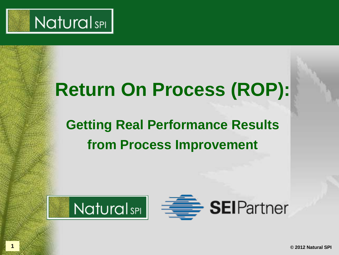

## **Return On Process (ROP):**

## **Getting Real Performance Results from Process Improvement**



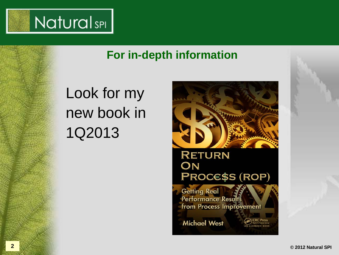

#### **For in-depth information**

## Look for my new book in 1Q2013

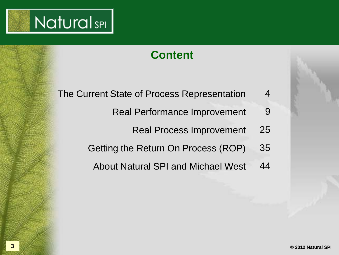

#### **Content**

- The Current State of Process Representation 4
	- Real Performance Improvement 9
		- Real Process Improvement 25
	- Getting the Return On Process (ROP) 35
		- About Natural SPI and Michael West 44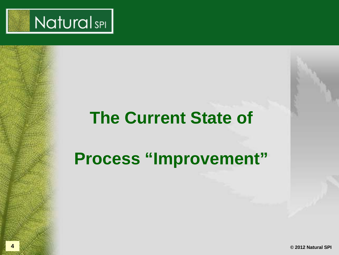

## **The Current State of**

## **Process "Improvement"**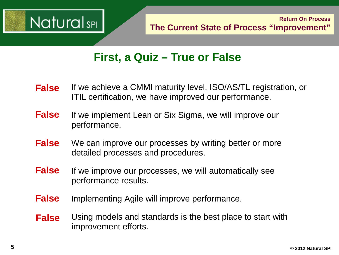

#### **First, a Quiz – True or False**

- If we achieve a CMMI maturity level, ISO/AS/TL registration, or ITIL certification, we have improved our performance. **False**
- If we implement Lean or Six Sigma, we will improve our performance. **False**
- We can improve our processes by writing better or more detailed processes and procedures. **False**
- If we improve our processes, we will automatically see performance results. **False**
- Implementing Agile will improve performance. **False**
- Using models and standards is the best place to start with improvement efforts. **False**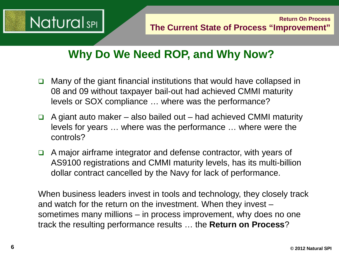

### **Why Do We Need ROP, and Why Now?**

- $\Box$  Many of the giant financial institutions that would have collapsed in 08 and 09 without taxpayer bail-out had achieved CMMI maturity levels or SOX compliance … where was the performance?
- $\Box$  A giant auto maker also bailed out had achieved CMMI maturity levels for years … where was the performance … where were the controls?
- $\Box$  A major airframe integrator and defense contractor, with years of AS9100 registrations and CMMI maturity levels, has its multi-billion dollar contract cancelled by the Navy for lack of performance.

When business leaders invest in tools and technology, they closely track and watch for the return on the investment. When they invest – sometimes many millions – in process improvement, why does no one track the resulting performance results … the **Return on Process**?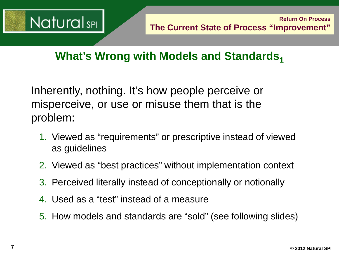

### **What's Wrong with Models and Standards,**

Inherently, nothing. It's how people perceive or misperceive, or use or misuse them that is the problem:

- 1. Viewed as "requirements" or prescriptive instead of viewed as guidelines
- 2. Viewed as "best practices" without implementation context
- 3. Perceived literally instead of conceptionally or notionally
- 4. Used as a "test" instead of a measure
- 5. How models and standards are "sold" (see following slides)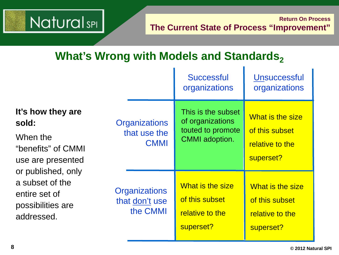## **NaturalsPI**

## **What's Wrong with Models and Standards**<sub>2</sub>

|                                                                                                                                                                                |                                                     | <b>Successful</b><br>organizations                                                   | <b>Unsuccessful</b><br>organizations                               |
|--------------------------------------------------------------------------------------------------------------------------------------------------------------------------------|-----------------------------------------------------|--------------------------------------------------------------------------------------|--------------------------------------------------------------------|
| It's how they are<br>sold:<br>When the<br>"benefits" of CMMI<br>use are presented<br>or published, only<br>a subset of the<br>entire set of<br>possibilities are<br>addressed. | <b>Organizations</b><br>that use the<br><b>CMMI</b> | This is the subset<br>of organizations<br>touted to promote<br><b>CMMI</b> adoption. | What is the size<br>of this subset<br>relative to the<br>superset? |
|                                                                                                                                                                                | <b>Organizations</b><br>that don't use<br>the CMMI  | What is the size<br>of this subset<br>relative to the<br>superset?                   | What is the size<br>of this subset<br>relative to the<br>superset? |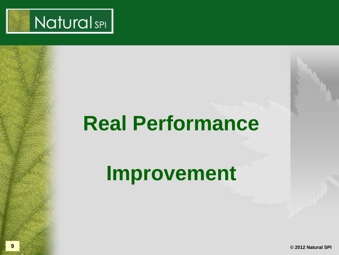

## **Real Performance**

**Improvement**

**9 © 2012 Natural SPI**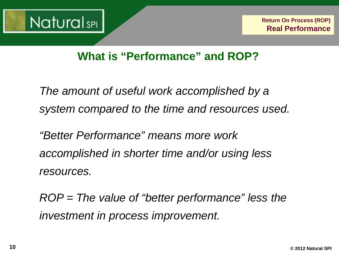

#### **What is "Performance" and ROP?**

*The amount of useful work accomplished by a system compared to the time and resources used.* 

*"Better Performance" means more work accomplished in shorter time and/or using less resources.*

*ROP = The value of "better performance" less the investment in process improvement.*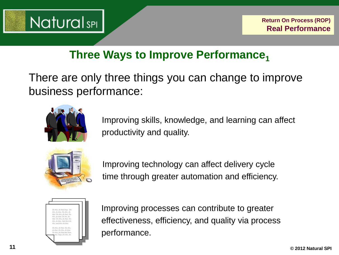

#### **Three Ways to Improve Performance1**

There are only three things you can change to improve business performance:



Improving skills, knowledge, and learning can affect productivity and quality.



Improving technology can affect delivery cycle time through greater automation and efficiency.



Improving processes can contribute to greater effectiveness, efficiency, and quality via process performance.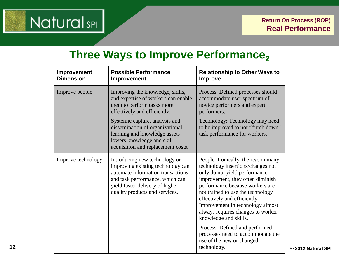

#### **Three Ways to Improve Performance,**

| Improvement<br><b>Dimension</b> | <b>Possible Performance</b><br>Improvement                                                                                                                                                                      | <b>Relationship to Other Ways to</b><br><b>Improve</b>                                                                                                                                                                                                                                                                                                  |
|---------------------------------|-----------------------------------------------------------------------------------------------------------------------------------------------------------------------------------------------------------------|---------------------------------------------------------------------------------------------------------------------------------------------------------------------------------------------------------------------------------------------------------------------------------------------------------------------------------------------------------|
| Improve people                  | Improving the knowledge, skills,<br>and expertise of workers can enable<br>them to perform tasks more<br>effectively and efficiently.                                                                           | Process: Defined processes should<br>accommodate user spectrum of<br>novice performers and expert<br>performers.                                                                                                                                                                                                                                        |
|                                 | Systemic capture, analysis and<br>dissemination of organizational<br>learning and knowledge assets<br>lowers knowledge and skill<br>acquisition and replacement costs.                                          | Technology: Technology may need<br>to be improved to not "dumb down"<br>task performance for workers.                                                                                                                                                                                                                                                   |
| Improve technology              | Introducing new technology or<br>improving existing technology can<br>automate information transactions<br>and task performance, which can<br>yield faster delivery of higher<br>quality products and services. | People: Ironically, the reason many<br>technology insertions/changes not<br>only do not yield performance<br>improvement, they often diminish<br>performance because workers are<br>not trained to use the technology<br>effectively and efficiently.<br>Improvement in technology almost<br>always requires changes to worker<br>knowledge and skills. |
|                                 |                                                                                                                                                                                                                 | Process: Defined and performed<br>processes need to accommodate the<br>use of the new or changed<br>technology.                                                                                                                                                                                                                                         |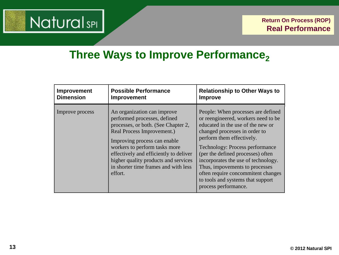## **Natural**sPI

#### **Three Ways to Improve Performance**<sub>2</sub> ļ

l

í

l

| Improvement      | <b>Possible Performance</b>                                                                                                                                                                                                                                                                                                            | <b>Relationship to Other Ways to</b>                                                                                                                                                                                                                                                                                                                                                                                                    |
|------------------|----------------------------------------------------------------------------------------------------------------------------------------------------------------------------------------------------------------------------------------------------------------------------------------------------------------------------------------|-----------------------------------------------------------------------------------------------------------------------------------------------------------------------------------------------------------------------------------------------------------------------------------------------------------------------------------------------------------------------------------------------------------------------------------------|
| <b>Dimension</b> | Improvement                                                                                                                                                                                                                                                                                                                            | <b>Improve</b>                                                                                                                                                                                                                                                                                                                                                                                                                          |
| Improve process  | An organization can improve<br>performed processes, defined<br>processes, or both. (See Chapter 2,<br>Real Process Improvement.)<br>Improving process can enable<br>workers to perform tasks more<br>effectively and efficiently to deliver<br>higher quality products and services<br>in shorter time frames and with less<br>effort. | People: When processes are defined<br>or reengineered, workers need to be<br>educated in the use of the new or<br>changed processes in order to<br>perform them effectively.<br><b>Technology: Process performance</b><br>(per the defined processes) often<br>incorporates the use of technology.<br>Thus, impovements to processes<br>often require concommitent changes<br>to tools and systems that support<br>process performance. |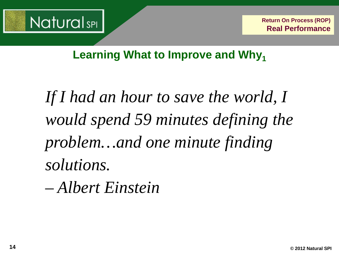

**Learning What to Improve and Why**<sub>1</sub>

*If I had an hour to save the world, I would spend 59 minutes defining the problem…and one minute finding solutions.* 

*– Albert Einstein*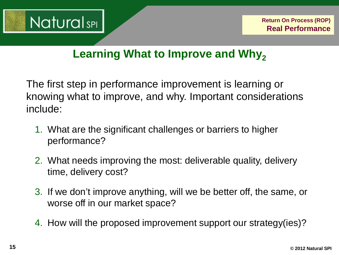

#### **Learning What to Improve and Why,**

The first step in performance improvement is learning or knowing what to improve, and why. Important considerations include:

- 1. What are the significant challenges or barriers to higher performance?
- 2. What needs improving the most: deliverable quality, delivery time, delivery cost?
- 3. If we don't improve anything, will we be better off, the same, or worse off in our market space?
- 4. How will the proposed improvement support our strategy(ies)?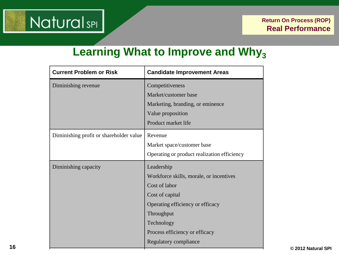## **NaturalsPI**

#### **Learning What to Improve and Why<sub>3</sub>**

| <b>Current Problem or Risk</b>          | <b>Candidate Improvement Areas</b>          |
|-----------------------------------------|---------------------------------------------|
| Diminishing revenue                     | Competitiveness                             |
|                                         | Market/customer base                        |
|                                         | Marketing, branding, or eminence            |
|                                         | Value proposition                           |
|                                         | Product market life                         |
| Diminishing profit or shareholder value | Revenue                                     |
|                                         | Market space/customer base                  |
|                                         | Operating or product realization efficiency |
| Diminishing capacity                    | Leadership                                  |
|                                         | Workforce skills, morale, or incentives     |
|                                         | Cost of labor                               |
|                                         | Cost of capital                             |
|                                         | Operating efficiency or efficacy            |
|                                         | Throughput                                  |
|                                         | Technology                                  |
|                                         | Process efficiency or efficacy              |
|                                         | Regulatory compliance                       |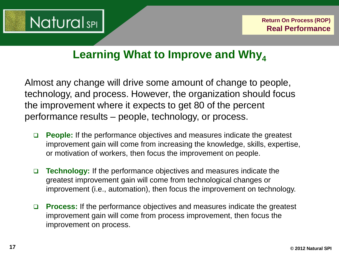

#### **Learning What to Improve and Why**<sub>4</sub>

Almost any change will drive some amount of change to people, technology, and process. However, the organization should focus the improvement where it expects to get 80 of the percent performance results – people, technology, or process.

- **People:** If the performance objectives and measures indicate the greatest improvement gain will come from increasing the knowledge, skills, expertise, or motivation of workers, then focus the improvement on people.
- **Technology:** If the performance objectives and measures indicate the greatest improvement gain will come from technological changes or improvement (i.e., automation), then focus the improvement on technology.
- **Process:** If the performance objectives and measures indicate the greatest improvement gain will come from process improvement, then focus the improvement on process.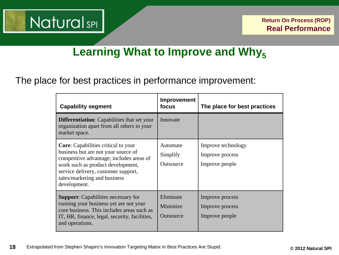

#### **Learning What to Improve and Why<sub>5</sub>**

#### The place for best practices in performance improvement:

| <b>Capability segment</b>                                                                                                                                                                                                                                 | <b>Improvement</b><br>focus              | The place for best practices                            |
|-----------------------------------------------------------------------------------------------------------------------------------------------------------------------------------------------------------------------------------------------------------|------------------------------------------|---------------------------------------------------------|
| <b>Differentiation:</b> Capabilities that set your<br>organization apart from all others in your<br>market space.                                                                                                                                         | Innovate                                 |                                                         |
| <b>Core:</b> Capabilities critical to your<br>business but are not your source of<br>competitive advantage; includes areas of<br>work such as product development,<br>service delivery, customer support,<br>sales/marketing and business<br>development. | Automate<br>Simplify<br><b>Outsource</b> | Improve technology<br>Improve process<br>Improve people |
| <b>Support:</b> Capabilities necessary for<br>running your business yet are not your<br>core business. This includes areas such as<br>IT, HR, finance, legal, security, facilities,<br>and operations.                                                    | Eliminate<br>Minimize<br>Outsource       | Improve process<br>Improve process<br>Improve people    |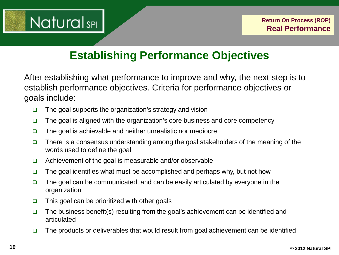

### **Establishing Performance Objectives**

After establishing what performance to improve and why, the next step is to establish performance objectives. Criteria for performance objectives or goals include:

- $\Box$  The goal supports the organization's strategy and vision
- $\Box$  The goal is aligned with the organization's core business and core competency
- $\Box$  The goal is achievable and neither unrealistic nor mediocre
- $\Box$  There is a consensus understanding among the goal stakeholders of the meaning of the words used to define the goal
- $\Box$  Achievement of the goal is measurable and/or observable
- $\Box$  The goal identifies what must be accomplished and perhaps why, but not how
- $\Box$  The goal can be communicated, and can be easily articulated by everyone in the organization
- $\Box$  This goal can be prioritized with other goals
- $\Box$  The business benefit(s) resulting from the goal's achievement can be identified and articulated
- $\Box$  The products or deliverables that would result from goal achievement can be identified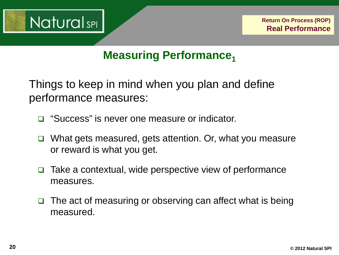

#### **Measuring Performance**<sub>1</sub>

Things to keep in mind when you plan and define performance measures:

- □ "Success" is never one measure or indicator.
- What gets measured, gets attention. Or, what you measure or reward is what you get.
- Take a contextual, wide perspective view of performance measures.
- $\Box$  The act of measuring or observing can affect what is being measured.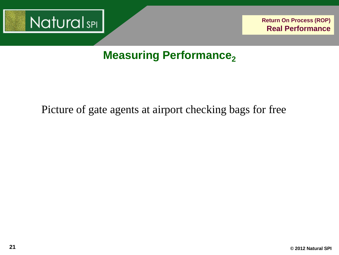

#### Picture of gate agents at airport checking bags for free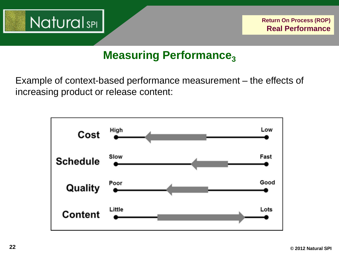

Example of context-based performance measurement – the effects of increasing product or release content:

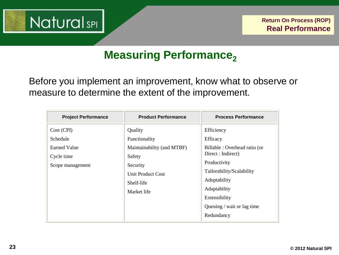

Before you implement an improvement, know what to observe or measure to determine the extent of the improvement.

| <b>Project Performance</b>                                               | <b>Product Performance</b>                                                                                                     | <b>Process Performance</b>                                                                                                                                                                                             |
|--------------------------------------------------------------------------|--------------------------------------------------------------------------------------------------------------------------------|------------------------------------------------------------------------------------------------------------------------------------------------------------------------------------------------------------------------|
| Cost (CPI)<br>Schedule<br>Earned Value<br>Cycle time<br>Scope management | Quality<br>Functionality<br>Maintainability (and MTBF)<br>Safety<br>Security<br>Unit Product Cost<br>Shelf-life<br>Market life | Efficiency<br>Efficacy<br>Billable: Overhead ratio (or<br>Direct : Indirect)<br>Productivity<br>Tailorability/Scalability<br>Adoptability<br>Adaptability<br>Extensibility<br>Queuing / wait or lag time<br>Redundancy |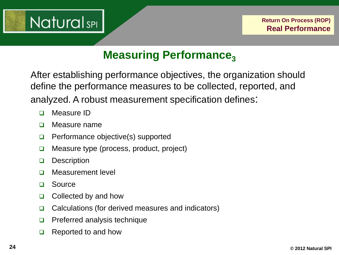

After establishing performance objectives, the organization should define the performance measures to be collected, reported, and analyzed. A robust measurement specification defines:

- D Measure ID
- Measure name
- $\Box$  Performance objective(s) supported
- □ Measure type (process, product, project)
- **Description**
- D Measurement level
- □ Source
- $\Box$  Collected by and how
- $\Box$  Calculations (for derived measures and indicators)
- $\Box$  Preferred analysis technique
- Reported to and how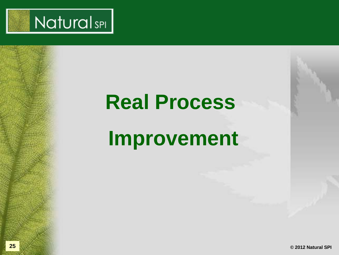

# **Real Process**

## **Improvement**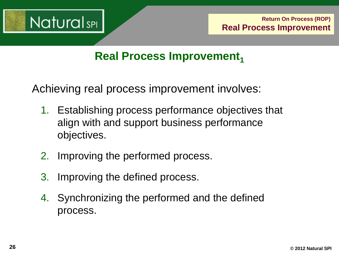

#### **Real Process Improvement**

Achieving real process improvement involves:

- 1. Establishing process performance objectives that align with and support business performance objectives.
- 2. Improving the performed process.
- 3. Improving the defined process.
- 4. Synchronizing the performed and the defined process.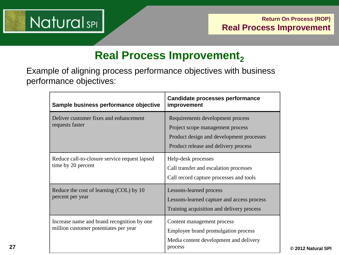

#### **Real Process Improvement,**

Example of aligning process performance objectives with business performance objectives: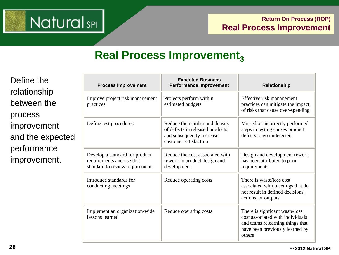

#### **Real Process Improvement**<sub>3</sub>

Define the relationship between the process improvement and the expected performance improvement.

| <b>Process Improvement</b>                                                                     | <b>Expected Business</b><br><b>Performance Improvement</b>                                                             | Relationship                                                                                                                                        |
|------------------------------------------------------------------------------------------------|------------------------------------------------------------------------------------------------------------------------|-----------------------------------------------------------------------------------------------------------------------------------------------------|
| Improve project risk management<br>practices                                                   | Projects perform within<br>estimated budgets                                                                           | Effective risk management<br>practices can mitigate the impact<br>of risks that cause over-spending                                                 |
| Define test procedures                                                                         | Reduce the number and density<br>of defects in released products<br>and subsequently increase<br>customer satisfaction | Missed or incorrectly performed<br>steps in testing causes product<br>defects to go undetected                                                      |
| Develop a standard for product<br>requirements and use that<br>standard to review requirements | Reduce the cost associated with<br>rework in product design and<br>development                                         | Design and development rework<br>has been attributed to poor<br>requirements                                                                        |
| Introduce standards for<br>conducting meetings                                                 | Reduce operating costs                                                                                                 | There is waste/loss cost<br>associated with meetings that do<br>not result in defined decisions,<br>actions, or outputs                             |
| Implement an organization-wide<br>lessons learned                                              | Reduce operating costs                                                                                                 | There is signficant waste/loss<br>cost associated with individuals<br>and teams relearning things that<br>have been previously learned by<br>others |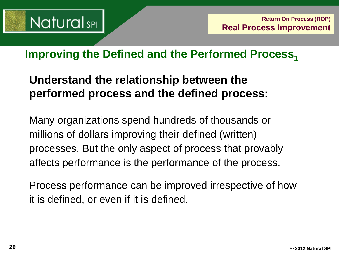

#### **Improving the Defined and the Performed Process,**

#### **Understand the relationship between the performed process and the defined process:**

Many organizations spend hundreds of thousands or millions of dollars improving their defined (written) processes. But the only aspect of process that provably affects performance is the performance of the process.

Process performance can be improved irrespective of how it is defined, or even if it is defined.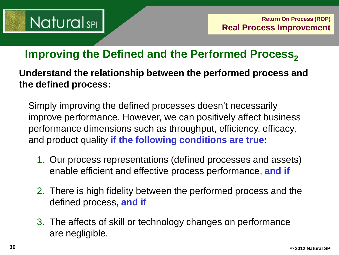## **NaturalsPL**

#### **Improving the Defined and the Performed Process,**

**Understand the relationship between the performed process and the defined process:**

Simply improving the defined processes doesn't necessarily improve performance. However, we can positively affect business performance dimensions such as throughput, efficiency, efficacy, and product quality **if the following conditions are true:**

- 1. Our process representations (defined processes and assets) enable efficient and effective process performance, **and if**
- 2. There is high fidelity between the performed process and the defined process, **and if**
- 3. The affects of skill or technology changes on performance are negligible.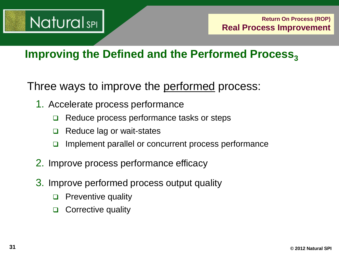

#### **Improving the Defined and the Performed Process,**

Three ways to improve the performed process:

- 1. Accelerate process performance
	- Reduce process performance tasks or steps
	- $\Box$  Reduce lag or wait-states
	- $\Box$  Implement parallel or concurrent process performance
- 2. Improve process performance efficacy
- 3. Improve performed process output quality
	- **D** Preventive quality
	- □ Corrective quality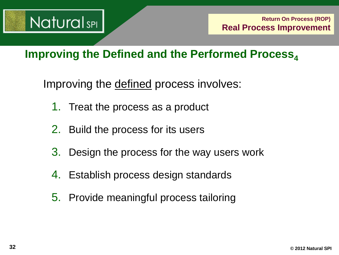

#### **Improving the Defined and the Performed Process**<sub>4</sub>

Improving the defined process involves:

- 1. Treat the process as a product
- 2. Build the process for its users
- 3. Design the process for the way users work
- 4. Establish process design standards
- 5. Provide meaningful process tailoring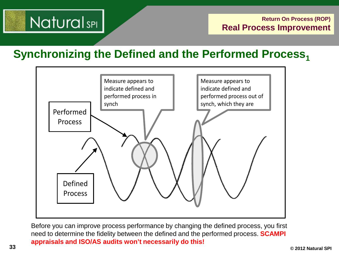## **NaturalsPL**

**Synchronizing the Defined and the Performed Process,** 



Before you can improve process performance by changing the defined process, you first need to determine the fidelity between the defined and the performed process. **SCAMPI appraisals and ISO/AS audits won't necessarily do this!**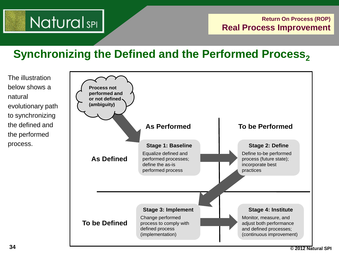## **NaturalsPL**

#### **Synchronizing the Defined and the Performed Process,**

The illustration below shows a natural evolutionary path to synchronizing the defined and the performed process.

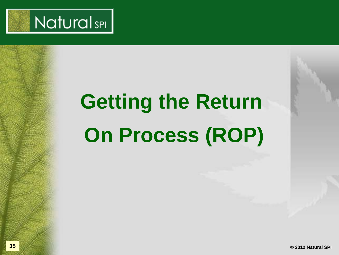

# **Getting the Return On Process (ROP)**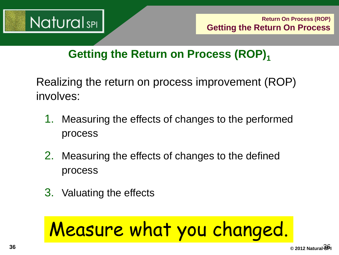

#### **Getting the Return on Process (ROP)**<sup>1</sup>

Realizing the return on process improvement (ROP) involves:

- 1. Measuring the effects of changes to the performed process
- 2. Measuring the effects of changes to the defined process
- 3. Valuating the effects

# Measure what you changed.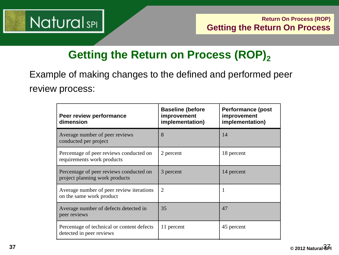

#### **Getting the Return on Process (ROP)**<sub>2</sub>

Example of making changes to the defined and performed peer review process:

| Peer review performance<br>dimension                                      | <b>Baseline (before</b><br>improvement<br>implementation) | <b>Performance (post)</b><br>improvement<br>implementation) |
|---------------------------------------------------------------------------|-----------------------------------------------------------|-------------------------------------------------------------|
| Average number of peer reviews<br>conducted per project                   | 8                                                         | 14                                                          |
| Percentage of peer reviews conducted on<br>requirements work products     | 2 percent                                                 | 18 percent                                                  |
| Percentage of peer reviews conducted on<br>project planning work products | 3 percent                                                 | 14 percent                                                  |
| Average number of peer review iterations<br>on the same work product      | 2                                                         | 1                                                           |
| Average number of defects detected in<br>peer reviews                     | 35                                                        | 47                                                          |
| Percentage of technical or content defects<br>detected in peer reviews    | 11 percent                                                | 45 percent                                                  |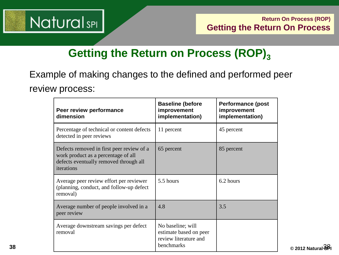

I

## **Getting the Return on Process (ROP)**<sub>3</sub>

Example of making changes to the defined and performed peer review process: ؙ

| Peer review performance<br>dimension                                                                                                     | <b>Baseline (before</b><br>improvement<br>implementation)                          | <b>Performance (post</b><br>improvement<br>implementation) |
|------------------------------------------------------------------------------------------------------------------------------------------|------------------------------------------------------------------------------------|------------------------------------------------------------|
| Percentage of technical or content defects<br>detected in peer reviews                                                                   | 11 percent                                                                         | 45 percent                                                 |
| Defects removed in first peer review of a<br>work product as a percentage of all<br>defects eventually removed through all<br>iterations | 65 percent                                                                         | 85 percent                                                 |
| Average peer review effort per reviewer<br>(planning, conduct, and follow-up defect<br>removal)                                          | 5.5 hours                                                                          | 6.2 hours                                                  |
| Average number of people involved in a<br>peer review                                                                                    | 4.8                                                                                | 3.5                                                        |
| Average downstream savings per defect<br>removal                                                                                         | No baseline; will<br>estimate based on peer<br>review literature and<br>benchmarks |                                                            |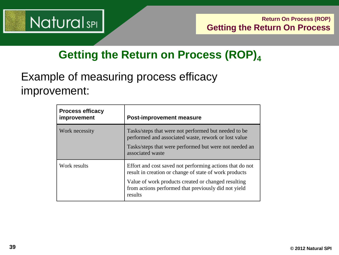

#### **Getting the Return on Process (ROP)**<sub>4</sub>

### Example of measuring process efficacy improvement:

| <b>Process efficacy</b><br>improvement | <b>Post-improvement measure</b>                                                                                                                                                                                                              |
|----------------------------------------|----------------------------------------------------------------------------------------------------------------------------------------------------------------------------------------------------------------------------------------------|
| Work necessity                         | Tasks/steps that were not performed but needed to be<br>performed and associated waste, rework or lost value<br>Tasks/steps that were performed but were not needed an<br>associated waste                                                   |
| Work results                           | Effort and cost saved not performing actions that do not<br>result in creation or change of state of work products<br>Value of work products created or changed resulting<br>from actions performed that previously did not yield<br>results |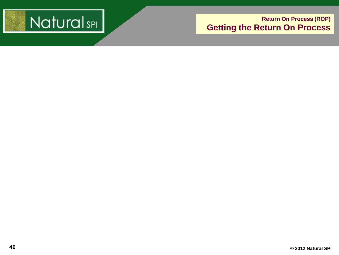

#### **Return On Process (ROP) Getting the Return On Process**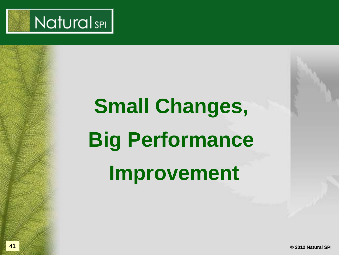

# **Small Changes, Big Performance Improvement**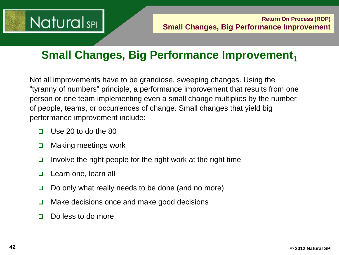

#### **Small Changes, Big Performance Improvement,**

Not all improvements have to be grandiose, sweeping changes. Using the "tyranny of numbers" principle, a performance improvement that results from one person or one team implementing even a small change multiplies by the number of people, teams, or occurrences of change. Small changes that yield big performance improvement include:

- $\Box$  Use 20 to do the 80
- □ Making meetings work
- Involve the right people for the right work at the right time
- Learn one, learn all
- $\Box$  Do only what really needs to be done (and no more)
- $\Box$  Make decisions once and make good decisions
- □ Do less to do more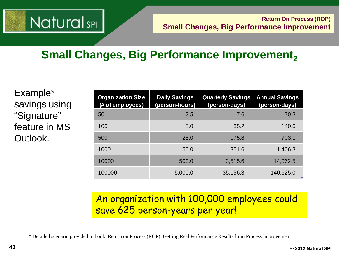## **NaturalsPL**

## **Small Changes, Big Performance Improvement,**

Example\* savings using "Signature" feature in MS Outlook.

| <b>Organization Size</b><br>(# of employees) | <b>Daily Savings</b><br>(person-hours) | <b>Quarterly Savings</b><br>(person-days) | <b>Annual Savings</b><br>(person-days) |
|----------------------------------------------|----------------------------------------|-------------------------------------------|----------------------------------------|
| 50                                           | 2.5                                    | 17.6                                      | 70.3                                   |
| 100                                          | 5.0                                    | 35.2                                      | 140.6                                  |
| 500                                          | 25.0                                   | 175.8                                     | 703.1                                  |
| 1000                                         | 50.0                                   | 351.6                                     | 1,406.3                                |
| 10000                                        | 500.0                                  | 3,515.6                                   | 14,062.5                               |
| 100000                                       | 5,000.0                                | 35,156.3                                  | 140,625.0                              |

#### An organization with 100,000 employees could save 625 person-years per year!

\* Detailed scenario provided in book: Return on Process (ROP): Getting Real Performance Results from Process Improvement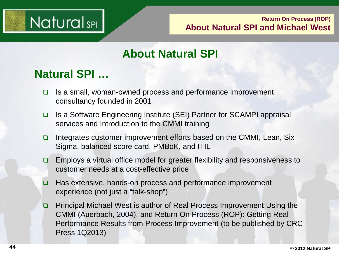

#### **Return On Process (ROP) About Natural SPI and Michael West**

#### **About Natural SPI**

#### **Natural SPI …**

- $\Box$  Is a small, woman-owned process and performance improvement consultancy founded in 2001
- □ Is a Software Engineering Institute (SEI) Partner for SCAMPI appraisal services and Introduction to the CMMI training
- □ Integrates customer improvement efforts based on the CMMI, Lean, Six Sigma, balanced score card, PMBoK, and ITIL
- □ Employs a virtual office model for greater flexibility and responsiveness to customer needs at a cost-effective price
- □ Has extensive, hands-on process and performance improvement experience (not just a "talk-shop")
- □ Principal Michael West is author of Real Process Improvement Using the CMMI (Auerbach, 2004), and Return On Process (ROP): Getting Real Performance Results from Process Improvement (to be published by CRC Press 1Q2013)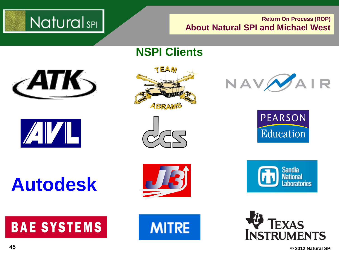

#### **Return On Process (ROP) About Natural SPI and Michael West**

#### **NSPI Clients**

TEAM

ABRAMS





**Autodesk**













**45 © 2012 Natural SPI**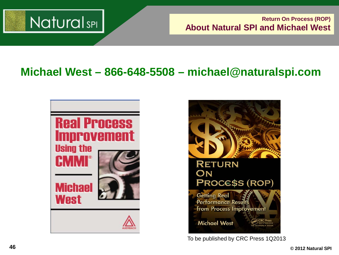

**Return On Process (ROP) About Natural SPI and Michael West**

#### **Michael West – 866-648-5508 – michael@naturalspi.com**





To be published by CRC Press 1Q2013